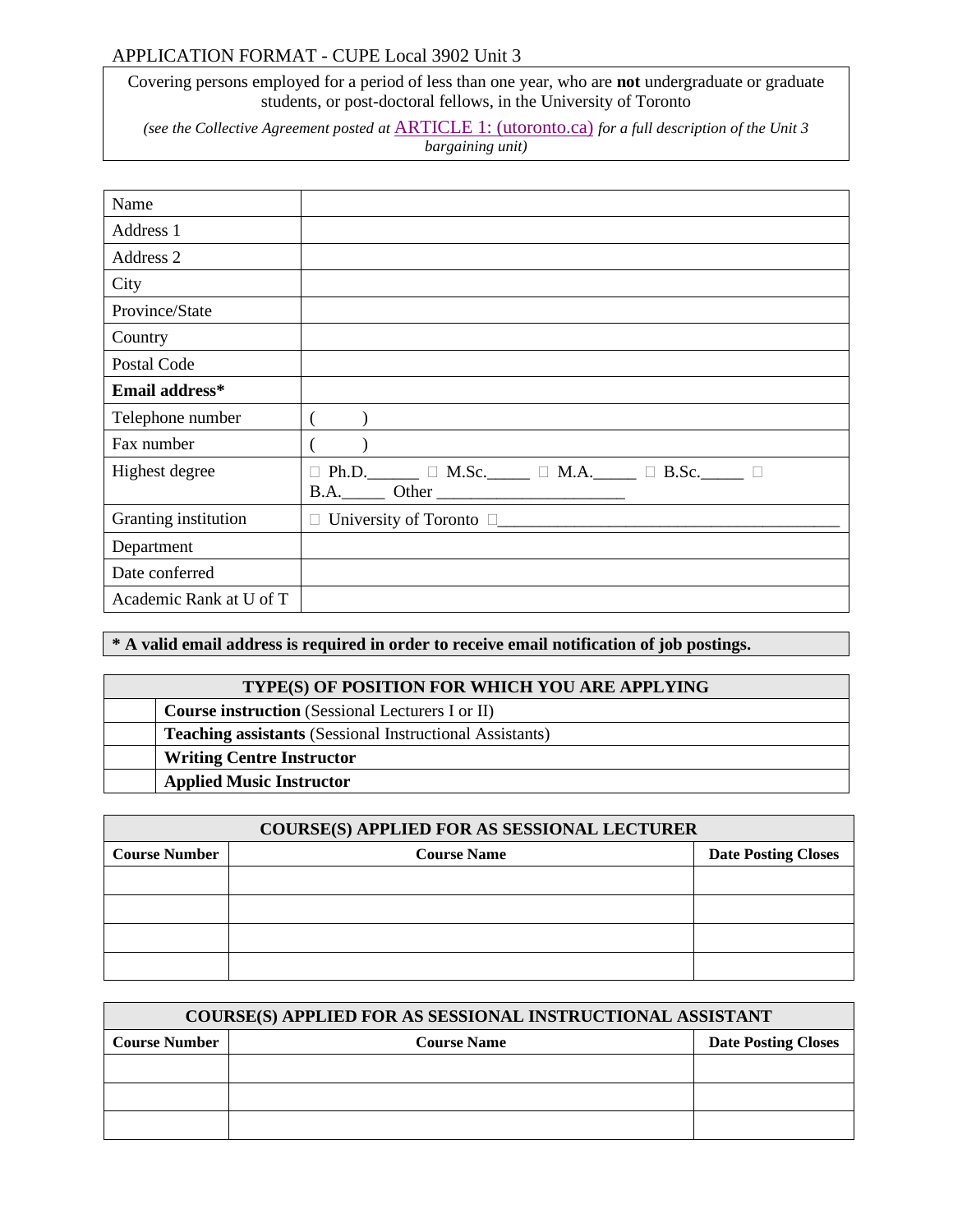## APPLICATION FORMAT - CUPE Local 3902 Unit 3

Covering persons employed for a period of less than one year, who are **not** undergraduate or graduate students, or post-doctoral fellows, in the University of Toronto

*(see the Collective Agreement posted at* [ARTICLE 1: \(utoronto.ca\)](https://people.utoronto.ca/wp-content/uploads/sites/36/2019/06/Final-CUPE-3902-Unit-3-Collective-Agreement-2017-2021-revised-June-2019.pdf) *for a full description of the Unit 3 bargaining unit)*

| Name                    |                                                                                       |
|-------------------------|---------------------------------------------------------------------------------------|
| Address 1               |                                                                                       |
| Address 2               |                                                                                       |
| City                    |                                                                                       |
| Province/State          |                                                                                       |
| Country                 |                                                                                       |
| Postal Code             |                                                                                       |
| Email address*          |                                                                                       |
| Telephone number        |                                                                                       |
| Fax number              |                                                                                       |
| Highest degree          | $\Box$ Ph.D. $\Box$ $\Box$ M.Sc. $\Box$ $\Box$ M.A. $\Box$ $\Box$ B.Sc. $\Box$ $\Box$ |
| Granting institution    | $\Box$ University of Toronto $\Box$                                                   |
| Department              |                                                                                       |
| Date conferred          |                                                                                       |
| Academic Rank at U of T |                                                                                       |

## **\* A valid email address is required in order to receive email notification of job postings.**

| TYPE(S) OF POSITION FOR WHICH YOU ARE APPLYING                  |
|-----------------------------------------------------------------|
| <b>Course instruction</b> (Sessional Lecturers I or II)         |
| <b>Teaching assistants</b> (Sessional Instructional Assistants) |
| <b>Writing Centre Instructor</b>                                |
| <b>Applied Music Instructor</b>                                 |

| <b>COURSE(S) APPLIED FOR AS SESSIONAL LECTURER</b> |                    |                            |
|----------------------------------------------------|--------------------|----------------------------|
| <b>Course Number</b>                               | <b>Course Name</b> | <b>Date Posting Closes</b> |
|                                                    |                    |                            |
|                                                    |                    |                            |
|                                                    |                    |                            |
|                                                    |                    |                            |

| <b>COURSE(S) APPLIED FOR AS SESSIONAL INSTRUCTIONAL ASSISTANT</b> |  |                            |
|-------------------------------------------------------------------|--|----------------------------|
| <b>Course Number</b><br><b>Course Name</b>                        |  | <b>Date Posting Closes</b> |
|                                                                   |  |                            |
|                                                                   |  |                            |
|                                                                   |  |                            |